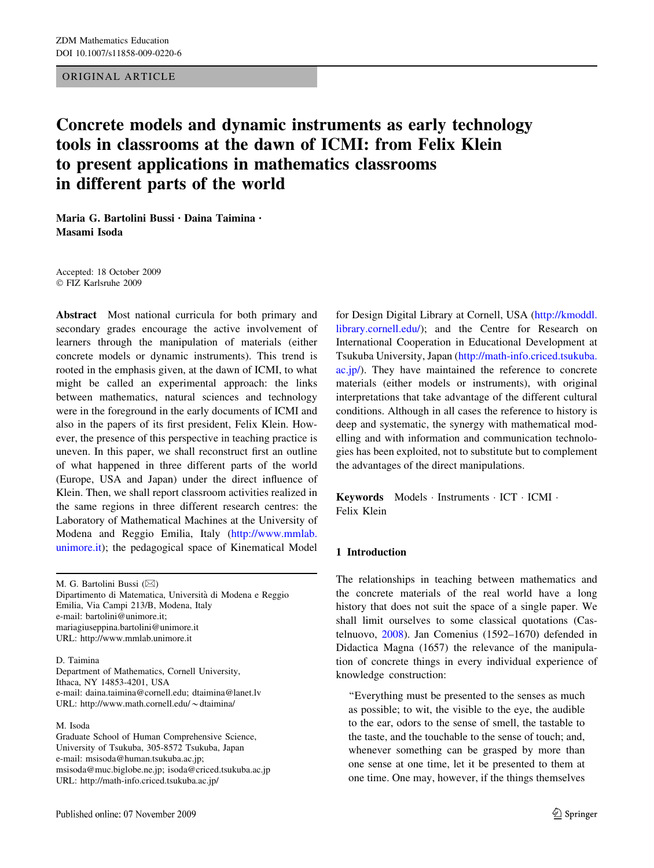ORIGINAL ARTICLE

# Concrete models and dynamic instruments as early technology tools in classrooms at the dawn of ICMI: from Felix Klein to present applications in mathematics classrooms in different parts of the world

Maria G. Bartolini Bussi • Daina Taimina • Masami Isoda

Accepted: 18 October 2009 FIZ Karlsruhe 2009

Abstract Most national curricula for both primary and secondary grades encourage the active involvement of learners through the manipulation of materials (either concrete models or dynamic instruments). This trend is rooted in the emphasis given, at the dawn of ICMI, to what might be called an experimental approach: the links between mathematics, natural sciences and technology were in the foreground in the early documents of ICMI and also in the papers of its first president, Felix Klein. However, the presence of this perspective in teaching practice is uneven. In this paper, we shall reconstruct first an outline of what happened in three different parts of the world (Europe, USA and Japan) under the direct influence of Klein. Then, we shall report classroom activities realized in the same regions in three different research centres: the Laboratory of Mathematical Machines at the University of Modena and Reggio Emilia, Italy ([http://www.mmlab.](http://www.mmlab.unimore.it) [unimore.it\)](http://www.mmlab.unimore.it); the pedagogical space of Kinematical Model

M. G. Bartolini Bussi  $(\boxtimes)$ Dipartimento di Matematica, Universita` di Modena e Reggio Emilia, Via Campi 213/B, Modena, Italy e-mail: bartolini@unimore.it; mariagiuseppina.bartolini@unimore.it URL: http://www.mmlab.unimore.it

#### D. Taimina

Department of Mathematics, Cornell University, Ithaca, NY 14853-4201, USA e-mail: daina.taimina@cornell.edu; dtaimina@lanet.lv URL: http://www.math.cornell.edu/ $\sim$ dtaimina/

#### M. Isoda

Graduate School of Human Comprehensive Science, University of Tsukuba, 305-8572 Tsukuba, Japan e-mail: msisoda@human.tsukuba.ac.jp; msisoda@muc.biglobe.ne.jp; isoda@criced.tsukuba.ac.jp URL: http://math-info.criced.tsukuba.ac.jp/

for Design Digital Library at Cornell, USA [\(http://kmoddl.](http://kmoddl.library.cornell.edu/) [library.cornell.edu/\)](http://kmoddl.library.cornell.edu/); and the Centre for Research on International Cooperation in Educational Development at Tsukuba University, Japan ([http://math-info.criced.tsukuba.](http://math-info.criced.tsukuba.ac.jp/) [ac.jp/](http://math-info.criced.tsukuba.ac.jp/)). They have maintained the reference to concrete materials (either models or instruments), with original interpretations that take advantage of the different cultural conditions. Although in all cases the reference to history is deep and systematic, the synergy with mathematical modelling and with information and communication technologies has been exploited, not to substitute but to complement the advantages of the direct manipulations.

Keywords Models Instruments ICT · ICMI · Felix Klein

#### 1 Introduction

The relationships in teaching between mathematics and the concrete materials of the real world have a long history that does not suit the space of a single paper. We shall limit ourselves to some classical quotations (Castelnuovo, [2008\)](#page-11-0). Jan Comenius (1592–1670) defended in Didactica Magna (1657) the relevance of the manipulation of concrete things in every individual experience of knowledge construction:

''Everything must be presented to the senses as much as possible; to wit, the visible to the eye, the audible to the ear, odors to the sense of smell, the tastable to the taste, and the touchable to the sense of touch; and, whenever something can be grasped by more than one sense at one time, let it be presented to them at one time. One may, however, if the things themselves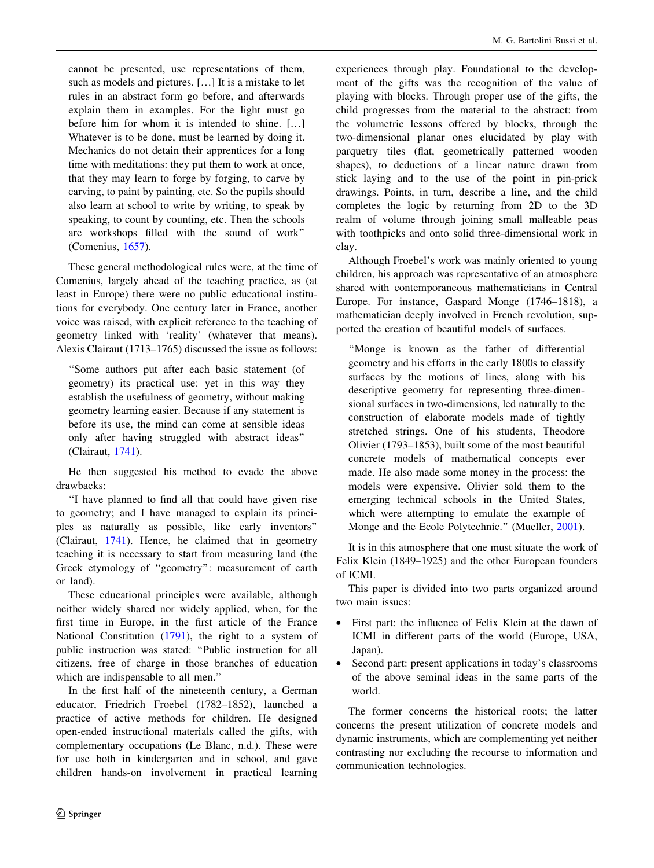cannot be presented, use representations of them, such as models and pictures. […] It is a mistake to let rules in an abstract form go before, and afterwards explain them in examples. For the light must go before him for whom it is intended to shine. […] Whatever is to be done, must be learned by doing it. Mechanics do not detain their apprentices for a long time with meditations: they put them to work at once, that they may learn to forge by forging, to carve by carving, to paint by painting, etc. So the pupils should also learn at school to write by writing, to speak by speaking, to count by counting, etc. Then the schools are workshops filled with the sound of work'' (Comenius, [1657](#page-11-0)).

These general methodological rules were, at the time of Comenius, largely ahead of the teaching practice, as (at least in Europe) there were no public educational institutions for everybody. One century later in France, another voice was raised, with explicit reference to the teaching of geometry linked with 'reality' (whatever that means). Alexis Clairaut (1713–1765) discussed the issue as follows:

''Some authors put after each basic statement (of geometry) its practical use: yet in this way they establish the usefulness of geometry, without making geometry learning easier. Because if any statement is before its use, the mind can come at sensible ideas only after having struggled with abstract ideas'' (Clairaut, [1741\)](#page-11-0).

He then suggested his method to evade the above drawbacks:

''I have planned to find all that could have given rise to geometry; and I have managed to explain its principles as naturally as possible, like early inventors'' (Clairaut, [1741](#page-11-0)). Hence, he claimed that in geometry teaching it is necessary to start from measuring land (the Greek etymology of ''geometry'': measurement of earth or land).

These educational principles were available, although neither widely shared nor widely applied, when, for the first time in Europe, in the first article of the France National Constitution ([1791\)](#page-11-0), the right to a system of public instruction was stated: ''Public instruction for all citizens, free of charge in those branches of education which are indispensable to all men.''

In the first half of the nineteenth century, a German educator, Friedrich Froebel (1782–1852), launched a practice of active methods for children. He designed open-ended instructional materials called the gifts, with complementary occupations (Le Blanc, n.d.). These were for use both in kindergarten and in school, and gave children hands-on involvement in practical learning

2 Springer

experiences through play. Foundational to the development of the gifts was the recognition of the value of playing with blocks. Through proper use of the gifts, the child progresses from the material to the abstract: from the volumetric lessons offered by blocks, through the two-dimensional planar ones elucidated by play with parquetry tiles (flat, geometrically patterned wooden shapes), to deductions of a linear nature drawn from stick laying and to the use of the point in pin-prick drawings. Points, in turn, describe a line, and the child completes the logic by returning from 2D to the 3D realm of volume through joining small malleable peas with toothpicks and onto solid three-dimensional work in clay.

Although Froebel's work was mainly oriented to young children, his approach was representative of an atmosphere shared with contemporaneous mathematicians in Central Europe. For instance, Gaspard Monge (1746–1818), a mathematician deeply involved in French revolution, supported the creation of beautiful models of surfaces.

''Monge is known as the father of differential geometry and his efforts in the early 1800s to classify surfaces by the motions of lines, along with his descriptive geometry for representing three-dimensional surfaces in two-dimensions, led naturally to the construction of elaborate models made of tightly stretched strings. One of his students, Theodore Olivier (1793–1853), built some of the most beautiful concrete models of mathematical concepts ever made. He also made some money in the process: the models were expensive. Olivier sold them to the emerging technical schools in the United States, which were attempting to emulate the example of Monge and the Ecole Polytechnic.'' (Mueller, [2001](#page-12-0)).

It is in this atmosphere that one must situate the work of Felix Klein (1849–1925) and the other European founders of ICMI.

This paper is divided into two parts organized around two main issues:

- First part: the influence of Felix Klein at the dawn of ICMI in different parts of the world (Europe, USA, Japan).
- Second part: present applications in today's classrooms of the above seminal ideas in the same parts of the world.

The former concerns the historical roots; the latter concerns the present utilization of concrete models and dynamic instruments, which are complementing yet neither contrasting nor excluding the recourse to information and communication technologies.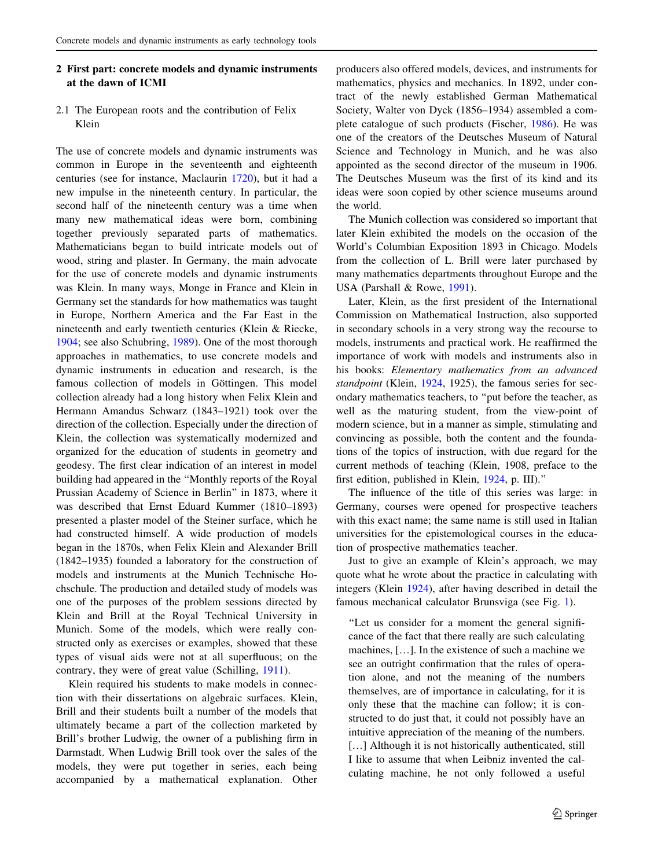### 2 First part: concrete models and dynamic instruments at the dawn of ICMI

# 2.1 The European roots and the contribution of Felix Klein

The use of concrete models and dynamic instruments was common in Europe in the seventeenth and eighteenth centuries (see for instance, Maclaurin [1720\)](#page-12-0), but it had a new impulse in the nineteenth century. In particular, the second half of the nineteenth century was a time when many new mathematical ideas were born, combining together previously separated parts of mathematics. Mathematicians began to build intricate models out of wood, string and plaster. In Germany, the main advocate for the use of concrete models and dynamic instruments was Klein. In many ways, Monge in France and Klein in Germany set the standards for how mathematics was taught in Europe, Northern America and the Far East in the nineteenth and early twentieth centuries (Klein & Riecke, [1904;](#page-12-0) see also Schubring, [1989](#page-12-0)). One of the most thorough approaches in mathematics, to use concrete models and dynamic instruments in education and research, is the famous collection of models in Göttingen. This model collection already had a long history when Felix Klein and Hermann Amandus Schwarz (1843–1921) took over the direction of the collection. Especially under the direction of Klein, the collection was systematically modernized and organized for the education of students in geometry and geodesy. The first clear indication of an interest in model building had appeared in the ''Monthly reports of the Royal Prussian Academy of Science in Berlin'' in 1873, where it was described that Ernst Eduard Kummer (1810–1893) presented a plaster model of the Steiner surface, which he had constructed himself. A wide production of models began in the 1870s, when Felix Klein and Alexander Brill (1842–1935) founded a laboratory for the construction of models and instruments at the Munich Technische Hochschule. The production and detailed study of models was one of the purposes of the problem sessions directed by Klein and Brill at the Royal Technical University in Munich. Some of the models, which were really constructed only as exercises or examples, showed that these types of visual aids were not at all superfluous; on the contrary, they were of great value (Schilling, [1911\)](#page-12-0).

Klein required his students to make models in connection with their dissertations on algebraic surfaces. Klein, Brill and their students built a number of the models that ultimately became a part of the collection marketed by Brill's brother Ludwig, the owner of a publishing firm in Darmstadt. When Ludwig Brill took over the sales of the models, they were put together in series, each being accompanied by a mathematical explanation. Other producers also offered models, devices, and instruments for mathematics, physics and mechanics. In 1892, under contract of the newly established German Mathematical Society, Walter von Dyck (1856–1934) assembled a complete catalogue of such products (Fischer, [1986\)](#page-11-0). He was one of the creators of the Deutsches Museum of Natural Science and Technology in Munich, and he was also appointed as the second director of the museum in 1906. The Deutsches Museum was the first of its kind and its ideas were soon copied by other science museums around the world.

The Munich collection was considered so important that later Klein exhibited the models on the occasion of the World's Columbian Exposition 1893 in Chicago. Models from the collection of L. Brill were later purchased by many mathematics departments throughout Europe and the USA (Parshall & Rowe, [1991](#page-12-0)).

Later, Klein, as the first president of the International Commission on Mathematical Instruction, also supported in secondary schools in a very strong way the recourse to models, instruments and practical work. He reaffirmed the importance of work with models and instruments also in his books: Elementary mathematics from an advanced standpoint (Klein, [1924](#page-12-0), 1925), the famous series for secondary mathematics teachers, to ''put before the teacher, as well as the maturing student, from the view-point of modern science, but in a manner as simple, stimulating and convincing as possible, both the content and the foundations of the topics of instruction, with due regard for the current methods of teaching (Klein, 1908, preface to the first edition, published in Klein, [1924](#page-12-0), p. III).''

The influence of the title of this series was large: in Germany, courses were opened for prospective teachers with this exact name; the same name is still used in Italian universities for the epistemological courses in the education of prospective mathematics teacher.

Just to give an example of Klein's approach, we may quote what he wrote about the practice in calculating with integers (Klein [1924\)](#page-12-0), after having described in detail the famous mechanical calculator Brunsviga (see Fig. [1\)](#page-3-0).

''Let us consider for a moment the general significance of the fact that there really are such calculating machines, […]. In the existence of such a machine we see an outright confirmation that the rules of operation alone, and not the meaning of the numbers themselves, are of importance in calculating, for it is only these that the machine can follow; it is constructed to do just that, it could not possibly have an intuitive appreciation of the meaning of the numbers. [...] Although it is not historically authenticated, still I like to assume that when Leibniz invented the calculating machine, he not only followed a useful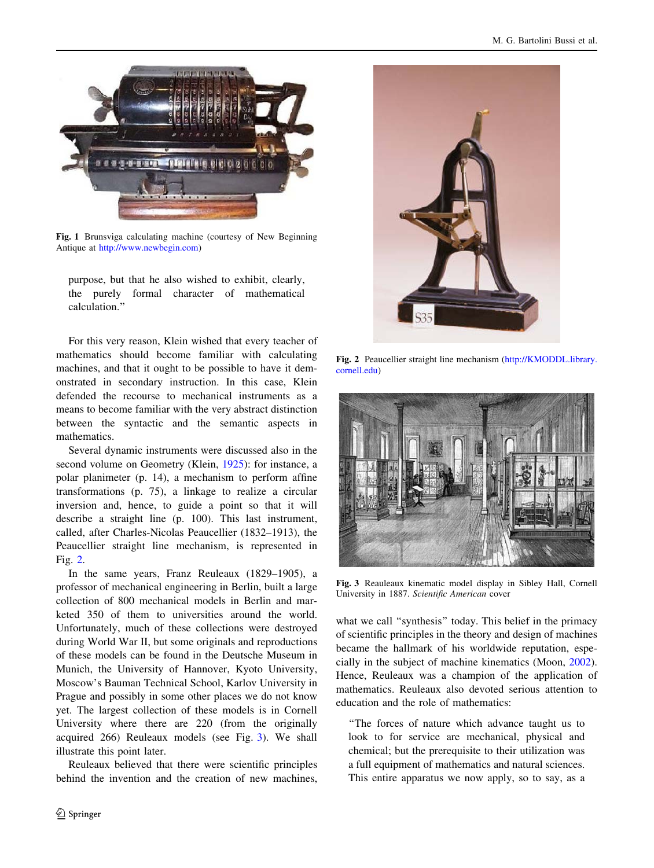<span id="page-3-0"></span>

Fig. 1 Brunsviga calculating machine (courtesy of New Beginning Antique at [http://www.newbegin.com\)](http://www.newbegin.com)

purpose, but that he also wished to exhibit, clearly, the purely formal character of mathematical calculation.''

For this very reason, Klein wished that every teacher of mathematics should become familiar with calculating machines, and that it ought to be possible to have it demonstrated in secondary instruction. In this case, Klein defended the recourse to mechanical instruments as a means to become familiar with the very abstract distinction between the syntactic and the semantic aspects in mathematics.

Several dynamic instruments were discussed also in the second volume on Geometry (Klein, [1925](#page-12-0)): for instance, a polar planimeter (p. 14), a mechanism to perform affine transformations (p. 75), a linkage to realize a circular inversion and, hence, to guide a point so that it will describe a straight line (p. 100). This last instrument, called, after Charles-Nicolas Peaucellier (1832–1913), the Peaucellier straight line mechanism, is represented in Fig. 2.

In the same years, Franz Reuleaux (1829–1905), a professor of mechanical engineering in Berlin, built a large collection of 800 mechanical models in Berlin and marketed 350 of them to universities around the world. Unfortunately, much of these collections were destroyed during World War II, but some originals and reproductions of these models can be found in the Deutsche Museum in Munich, the University of Hannover, Kyoto University, Moscow's Bauman Technical School, Karlov University in Prague and possibly in some other places we do not know yet. The largest collection of these models is in Cornell University where there are 220 (from the originally acquired 266) Reuleaux models (see Fig. 3). We shall illustrate this point later.

Reuleaux believed that there were scientific principles behind the invention and the creation of new machines,



Fig. 2 Peaucellier straight line mechanism ([http://KMODDL.library.](http://KMODDL.library.cornell.edu) [cornell.edu](http://KMODDL.library.cornell.edu))



Fig. 3 Reauleaux kinematic model display in Sibley Hall, Cornell University in 1887. Scientific American cover

what we call "synthesis" today. This belief in the primacy of scientific principles in the theory and design of machines became the hallmark of his worldwide reputation, especially in the subject of machine kinematics (Moon, [2002](#page-12-0)). Hence, Reuleaux was a champion of the application of mathematics. Reuleaux also devoted serious attention to education and the role of mathematics:

''The forces of nature which advance taught us to look to for service are mechanical, physical and chemical; but the prerequisite to their utilization was a full equipment of mathematics and natural sciences. This entire apparatus we now apply, so to say, as a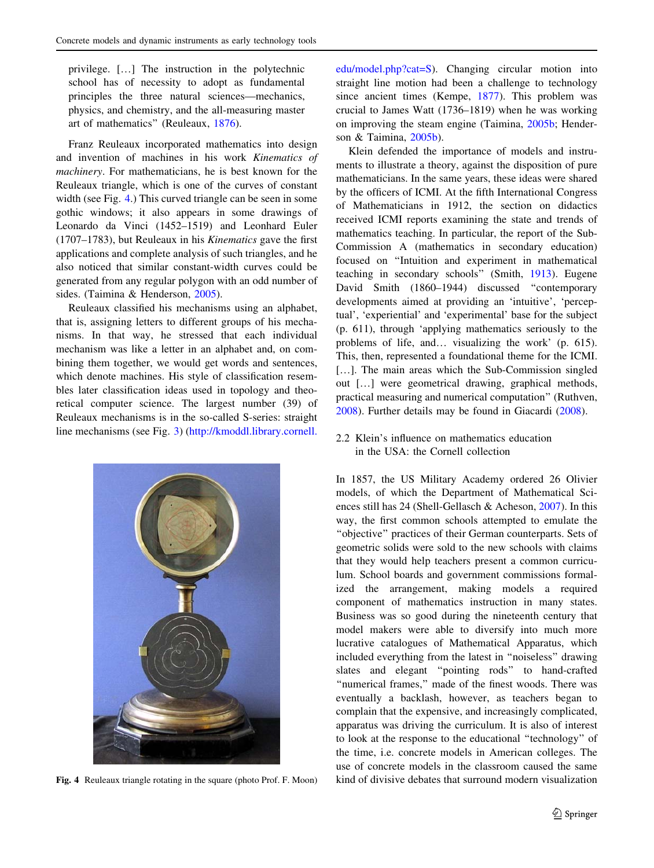privilege. […] The instruction in the polytechnic school has of necessity to adopt as fundamental principles the three natural sciences—mechanics, physics, and chemistry, and the all-measuring master art of mathematics'' (Reuleaux, [1876](#page-12-0)).

Franz Reuleaux incorporated mathematics into design and invention of machines in his work Kinematics of machinery. For mathematicians, he is best known for the Reuleaux triangle, which is one of the curves of constant width (see Fig. 4.) This curved triangle can be seen in some gothic windows; it also appears in some drawings of Leonardo da Vinci (1452–1519) and Leonhard Euler (1707–1783), but Reuleaux in his Kinematics gave the first applications and complete analysis of such triangles, and he also noticed that similar constant-width curves could be generated from any regular polygon with an odd number of sides. (Taimina & Henderson, [2005](#page-12-0)).

Reuleaux classified his mechanisms using an alphabet, that is, assigning letters to different groups of his mechanisms. In that way, he stressed that each individual mechanism was like a letter in an alphabet and, on combining them together, we would get words and sentences, which denote machines. His style of classification resembles later classification ideas used in topology and theoretical computer science. The largest number (39) of Reuleaux mechanisms is in the so-called S-series: straight line mechanisms (see Fig. [3](#page-3-0)) [\(http://kmoddl.library.cornell.](http://kmoddl.library.cornell.edu/model.php?cat=S)



[edu/model.php?cat=S](http://kmoddl.library.cornell.edu/model.php?cat=S)). Changing circular motion into straight line motion had been a challenge to technology since ancient times (Kempe, [1877\)](#page-12-0). This problem was crucial to James Watt (1736–1819) when he was working on improving the steam engine (Taimina, [2005b](#page-12-0); Henderson & Taimina, [2005b\)](#page-11-0).

Klein defended the importance of models and instruments to illustrate a theory, against the disposition of pure mathematicians. In the same years, these ideas were shared by the officers of ICMI. At the fifth International Congress of Mathematicians in 1912, the section on didactics received ICMI reports examining the state and trends of mathematics teaching. In particular, the report of the Sub-Commission A (mathematics in secondary education) focused on ''Intuition and experiment in mathematical teaching in secondary schools'' (Smith, [1913\)](#page-12-0). Eugene David Smith (1860–1944) discussed ''contemporary developments aimed at providing an 'intuitive', 'perceptual', 'experiential' and 'experimental' base for the subject (p. 611), through 'applying mathematics seriously to the problems of life, and… visualizing the work' (p. 615). This, then, represented a foundational theme for the ICMI. [...]. The main areas which the Sub-Commission singled out […] were geometrical drawing, graphical methods, practical measuring and numerical computation'' (Ruthven, [2008](#page-12-0)). Further details may be found in Giacardi ([2008\)](#page-11-0).

# 2.2 Klein's influence on mathematics education in the USA: the Cornell collection

In 1857, the US Military Academy ordered 26 Olivier models, of which the Department of Mathematical Sciences still has 24 (Shell-Gellasch & Acheson, [2007\)](#page-12-0). In this way, the first common schools attempted to emulate the ''objective'' practices of their German counterparts. Sets of geometric solids were sold to the new schools with claims that they would help teachers present a common curriculum. School boards and government commissions formalized the arrangement, making models a required component of mathematics instruction in many states. Business was so good during the nineteenth century that model makers were able to diversify into much more lucrative catalogues of Mathematical Apparatus, which included everything from the latest in ''noiseless'' drawing slates and elegant ''pointing rods'' to hand-crafted ''numerical frames,'' made of the finest woods. There was eventually a backlash, however, as teachers began to complain that the expensive, and increasingly complicated, apparatus was driving the curriculum. It is also of interest to look at the response to the educational ''technology'' of the time, i.e. concrete models in American colleges. The use of concrete models in the classroom caused the same Fig. 4 Reuleaux triangle rotating in the square (photo Prof. F. Moon) kind of divisive debates that surround modern visualization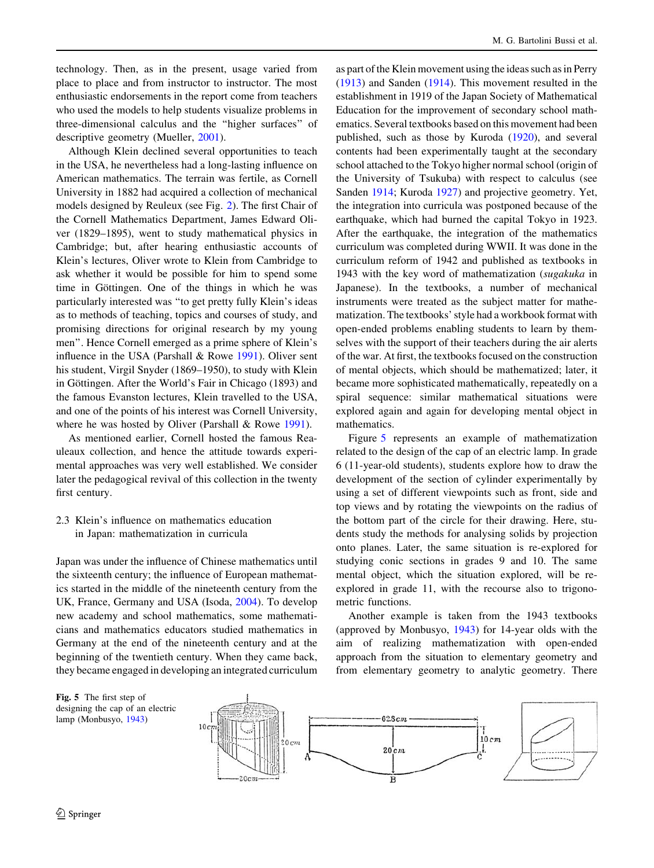technology. Then, as in the present, usage varied from place to place and from instructor to instructor. The most enthusiastic endorsements in the report come from teachers who used the models to help students visualize problems in three-dimensional calculus and the ''higher surfaces'' of descriptive geometry (Mueller, [2001](#page-12-0)).

Although Klein declined several opportunities to teach in the USA, he nevertheless had a long-lasting influence on American mathematics. The terrain was fertile, as Cornell University in 1882 had acquired a collection of mechanical models designed by Reuleux (see Fig. [2\)](#page-3-0). The first Chair of the Cornell Mathematics Department, James Edward Oliver (1829–1895), went to study mathematical physics in Cambridge; but, after hearing enthusiastic accounts of Klein's lectures, Oliver wrote to Klein from Cambridge to ask whether it would be possible for him to spend some time in Göttingen. One of the things in which he was particularly interested was ''to get pretty fully Klein's ideas as to methods of teaching, topics and courses of study, and promising directions for original research by my young men''. Hence Cornell emerged as a prime sphere of Klein's influence in the USA (Parshall & Rowe [1991\)](#page-12-0). Oliver sent his student, Virgil Snyder (1869–1950), to study with Klein in Göttingen. After the World's Fair in Chicago (1893) and the famous Evanston lectures, Klein travelled to the USA, and one of the points of his interest was Cornell University, where he was hosted by Oliver (Parshall & Rowe [1991\)](#page-12-0).

As mentioned earlier, Cornell hosted the famous Reauleaux collection, and hence the attitude towards experimental approaches was very well established. We consider later the pedagogical revival of this collection in the twenty first century.

### 2.3 Klein's influence on mathematics education in Japan: mathematization in curricula

Japan was under the influence of Chinese mathematics until the sixteenth century; the influence of European mathematics started in the middle of the nineteenth century from the UK, France, Germany and USA (Isoda, [2004](#page-11-0)). To develop new academy and school mathematics, some mathematicians and mathematics educators studied mathematics in Germany at the end of the nineteenth century and at the beginning of the twentieth century. When they came back, they became engaged in developing an integrated curriculum as part of the Klein movement using the ideas such as in Perry [\(1913](#page-12-0)) and Sanden ([1914\)](#page-12-0). This movement resulted in the establishment in 1919 of the Japan Society of Mathematical Education for the improvement of secondary school mathematics. Several textbooks based on this movement had been published, such as those by Kuroda [\(1920](#page-12-0)), and several contents had been experimentally taught at the secondary school attached to the Tokyo higher normal school (origin of the University of Tsukuba) with respect to calculus (see Sanden [1914;](#page-12-0) Kuroda [1927](#page-12-0)) and projective geometry. Yet, the integration into curricula was postponed because of the earthquake, which had burned the capital Tokyo in 1923. After the earthquake, the integration of the mathematics curriculum was completed during WWII. It was done in the curriculum reform of 1942 and published as textbooks in 1943 with the key word of mathematization (sugakuka in Japanese). In the textbooks, a number of mechanical instruments were treated as the subject matter for mathematization. The textbooks' style had a workbook format with open-ended problems enabling students to learn by themselves with the support of their teachers during the air alerts of the war. At first, the textbooks focused on the construction of mental objects, which should be mathematized; later, it became more sophisticated mathematically, repeatedly on a spiral sequence: similar mathematical situations were explored again and again for developing mental object in mathematics.

Figure 5 represents an example of mathematization related to the design of the cap of an electric lamp. In grade 6 (11-year-old students), students explore how to draw the development of the section of cylinder experimentally by using a set of different viewpoints such as front, side and top views and by rotating the viewpoints on the radius of the bottom part of the circle for their drawing. Here, students study the methods for analysing solids by projection onto planes. Later, the same situation is re-explored for studying conic sections in grades 9 and 10. The same mental object, which the situation explored, will be reexplored in grade 11, with the recourse also to trigonometric functions.

Another example is taken from the 1943 textbooks (approved by Monbusyo, [1943](#page-12-0)) for 14-year olds with the aim of realizing mathematization with open-ended approach from the situation to elementary geometry and from elementary geometry to analytic geometry. There

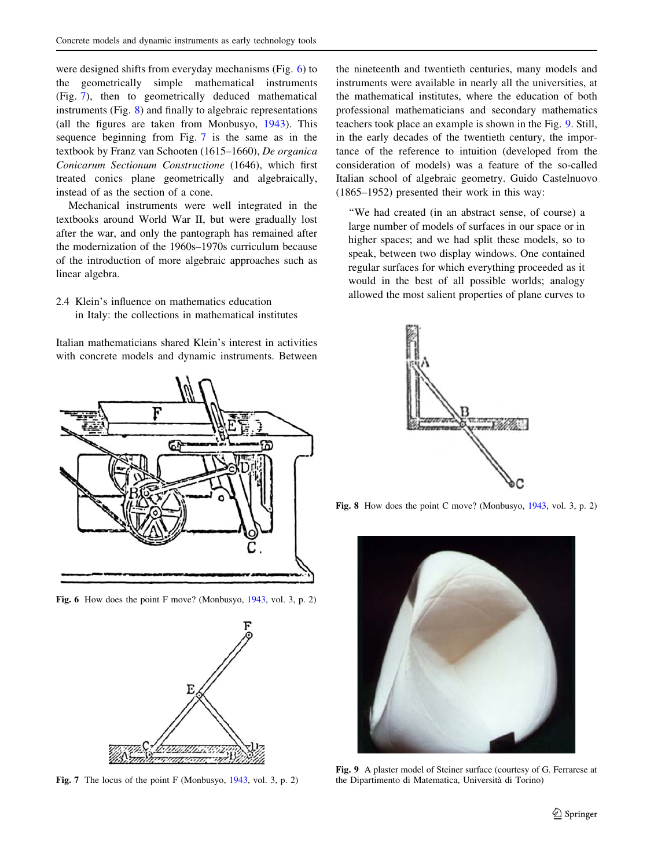<span id="page-6-0"></span>were designed shifts from everyday mechanisms (Fig. 6) to the geometrically simple mathematical instruments (Fig. 7), then to geometrically deduced mathematical instruments (Fig. 8) and finally to algebraic representations (all the figures are taken from Monbusyo, [1943](#page-12-0)). This sequence beginning from Fig. 7 is the same as in the textbook by Franz van Schooten (1615–1660), De organica Conicarum Sectionum Constructione (1646), which first treated conics plane geometrically and algebraically, instead of as the section of a cone.

Mechanical instruments were well integrated in the textbooks around World War II, but were gradually lost after the war, and only the pantograph has remained after the modernization of the 1960s–1970s curriculum because of the introduction of more algebraic approaches such as linear algebra.

# 2.4 Klein's influence on mathematics education in Italy: the collections in mathematical institutes

Italian mathematicians shared Klein's interest in activities with concrete models and dynamic instruments. Between



Fig. 6 How does the point F move? (Monbusyo, [1943](#page-12-0), vol. 3, p. 2)



Fig. 7 The locus of the point F (Monbusyo, [1943,](#page-12-0) vol. 3, p. 2)

the nineteenth and twentieth centuries, many models and instruments were available in nearly all the universities, at the mathematical institutes, where the education of both professional mathematicians and secondary mathematics teachers took place an example is shown in the Fig. 9. Still, in the early decades of the twentieth century, the importance of the reference to intuition (developed from the consideration of models) was a feature of the so-called Italian school of algebraic geometry. Guido Castelnuovo (1865–1952) presented their work in this way:

''We had created (in an abstract sense, of course) a large number of models of surfaces in our space or in higher spaces; and we had split these models, so to speak, between two display windows. One contained regular surfaces for which everything proceeded as it would in the best of all possible worlds; analogy allowed the most salient properties of plane curves to



Fig. 8 How does the point C move? (Monbusyo, [1943,](#page-12-0) vol. 3, p. 2)



Fig. 9 A plaster model of Steiner surface (courtesy of G. Ferrarese at the Dipartimento di Matematica, Universita` di Torino)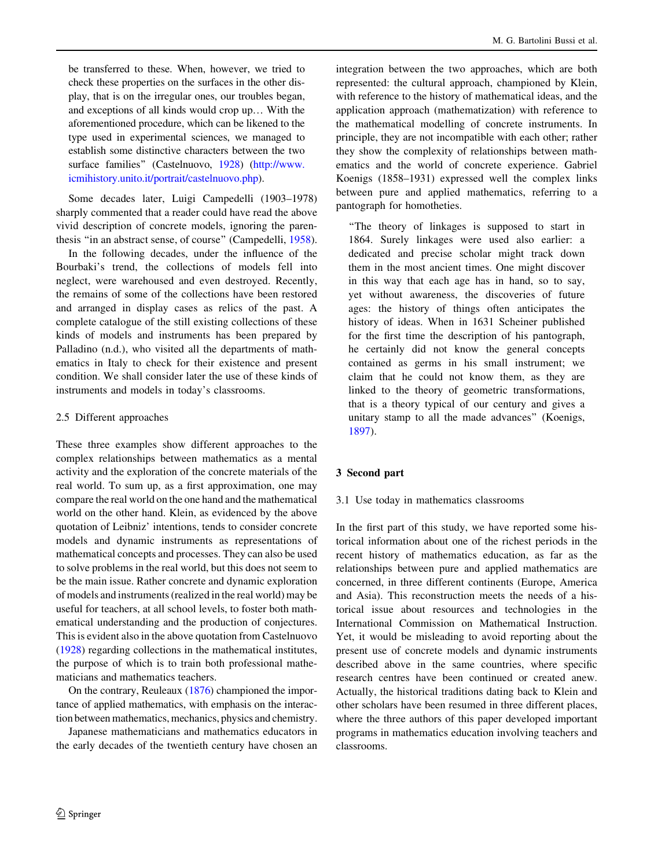be transferred to these. When, however, we tried to check these properties on the surfaces in the other display, that is on the irregular ones, our troubles began, and exceptions of all kinds would crop up… With the aforementioned procedure, which can be likened to the type used in experimental sciences, we managed to establish some distinctive characters between the two surface families'' (Castelnuovo, [1928\)](#page-11-0) ([http://www.](http://www.icmihistory.unito.it/portrait/castelnuovo.php) [icmihistory.unito.it/portrait/castelnuovo.php](http://www.icmihistory.unito.it/portrait/castelnuovo.php)).

Some decades later, Luigi Campedelli (1903–1978) sharply commented that a reader could have read the above vivid description of concrete models, ignoring the parenthesis ''in an abstract sense, of course'' (Campedelli, [1958](#page-11-0)).

In the following decades, under the influence of the Bourbaki's trend, the collections of models fell into neglect, were warehoused and even destroyed. Recently, the remains of some of the collections have been restored and arranged in display cases as relics of the past. A complete catalogue of the still existing collections of these kinds of models and instruments has been prepared by Palladino (n.d.), who visited all the departments of mathematics in Italy to check for their existence and present condition. We shall consider later the use of these kinds of instruments and models in today's classrooms.

## 2.5 Different approaches

These three examples show different approaches to the complex relationships between mathematics as a mental activity and the exploration of the concrete materials of the real world. To sum up, as a first approximation, one may compare the real world on the one hand and the mathematical world on the other hand. Klein, as evidenced by the above quotation of Leibniz' intentions, tends to consider concrete models and dynamic instruments as representations of mathematical concepts and processes. They can also be used to solve problems in the real world, but this does not seem to be the main issue. Rather concrete and dynamic exploration of models and instruments (realized in the real world) may be useful for teachers, at all school levels, to foster both mathematical understanding and the production of conjectures. This is evident also in the above quotation from Castelnuovo [\(1928](#page-11-0)) regarding collections in the mathematical institutes, the purpose of which is to train both professional mathematicians and mathematics teachers.

On the contrary, Reuleaux ([1876](#page-12-0)) championed the importance of applied mathematics, with emphasis on the interaction between mathematics, mechanics, physics and chemistry.

Japanese mathematicians and mathematics educators in the early decades of the twentieth century have chosen an M. G. Bartolini Bussi et al.

integration between the two approaches, which are both represented: the cultural approach, championed by Klein, with reference to the history of mathematical ideas, and the application approach (mathematization) with reference to the mathematical modelling of concrete instruments. In principle, they are not incompatible with each other; rather they show the complexity of relationships between mathematics and the world of concrete experience. Gabriel Koenigs (1858–1931) expressed well the complex links between pure and applied mathematics, referring to a pantograph for homotheties.

''The theory of linkages is supposed to start in 1864. Surely linkages were used also earlier: a dedicated and precise scholar might track down them in the most ancient times. One might discover in this way that each age has in hand, so to say, yet without awareness, the discoveries of future ages: the history of things often anticipates the history of ideas. When in 1631 Scheiner published for the first time the description of his pantograph, he certainly did not know the general concepts contained as germs in his small instrument; we claim that he could not know them, as they are linked to the theory of geometric transformations, that is a theory typical of our century and gives a unitary stamp to all the made advances'' (Koenigs, [1897](#page-12-0)).

# 3 Second part

#### 3.1 Use today in mathematics classrooms

In the first part of this study, we have reported some historical information about one of the richest periods in the recent history of mathematics education, as far as the relationships between pure and applied mathematics are concerned, in three different continents (Europe, America and Asia). This reconstruction meets the needs of a historical issue about resources and technologies in the International Commission on Mathematical Instruction. Yet, it would be misleading to avoid reporting about the present use of concrete models and dynamic instruments described above in the same countries, where specific research centres have been continued or created anew. Actually, the historical traditions dating back to Klein and other scholars have been resumed in three different places, where the three authors of this paper developed important programs in mathematics education involving teachers and classrooms.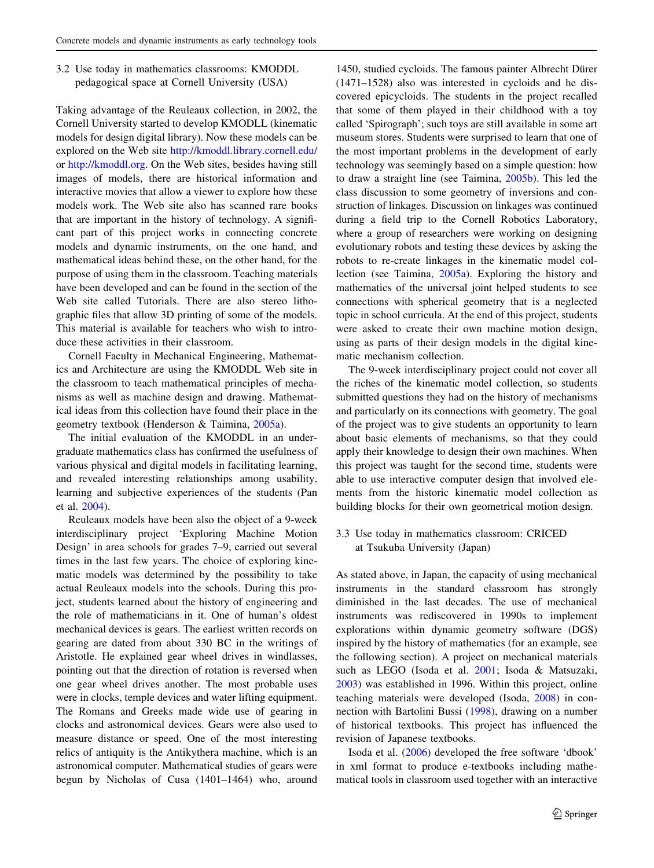# 3.2 Use today in mathematics classrooms: KMODDL pedagogical space at Cornell University (USA)

Taking advantage of the Reuleaux collection, in 2002, the Cornell University started to develop KMODLL (kinematic models for design digital library). Now these models can be explored on the Web site <http://kmoddl.library.cornell.edu/> or <http://kmoddl.org>. On the Web sites, besides having still images of models, there are historical information and interactive movies that allow a viewer to explore how these models work. The Web site also has scanned rare books that are important in the history of technology. A significant part of this project works in connecting concrete models and dynamic instruments, on the one hand, and mathematical ideas behind these, on the other hand, for the purpose of using them in the classroom. Teaching materials have been developed and can be found in the section of the Web site called Tutorials. There are also stereo lithographic files that allow 3D printing of some of the models. This material is available for teachers who wish to introduce these activities in their classroom.

Cornell Faculty in Mechanical Engineering, Mathematics and Architecture are using the KMODDL Web site in the classroom to teach mathematical principles of mechanisms as well as machine design and drawing. Mathematical ideas from this collection have found their place in the geometry textbook (Henderson & Taimina, [2005a](#page-11-0)).

The initial evaluation of the KMODDL in an undergraduate mathematics class has confirmed the usefulness of various physical and digital models in facilitating learning, and revealed interesting relationships among usability, learning and subjective experiences of the students (Pan et al. [2004\)](#page-12-0).

Reuleaux models have been also the object of a 9-week interdisciplinary project 'Exploring Machine Motion Design' in area schools for grades 7–9, carried out several times in the last few years. The choice of exploring kinematic models was determined by the possibility to take actual Reuleaux models into the schools. During this project, students learned about the history of engineering and the role of mathematicians in it. One of human's oldest mechanical devices is gears. The earliest written records on gearing are dated from about 330 BC in the writings of Aristotle. He explained gear wheel drives in windlasses, pointing out that the direction of rotation is reversed when one gear wheel drives another. The most probable uses were in clocks, temple devices and water lifting equipment. The Romans and Greeks made wide use of gearing in clocks and astronomical devices. Gears were also used to measure distance or speed. One of the most interesting relics of antiquity is the Antikythera machine, which is an astronomical computer. Mathematical studies of gears were begun by Nicholas of Cusa (1401–1464) who, around

1450, studied cycloids. The famous painter Albrecht Dürer (1471–1528) also was interested in cycloids and he discovered epicycloids. The students in the project recalled that some of them played in their childhood with a toy called 'Spirograph'; such toys are still available in some art museum stores. Students were surprised to learn that one of the most important problems in the development of early technology was seemingly based on a simple question: how to draw a straight line (see Taimina, [2005b](#page-12-0)). This led the class discussion to some geometry of inversions and construction of linkages. Discussion on linkages was continued during a field trip to the Cornell Robotics Laboratory, where a group of researchers were working on designing evolutionary robots and testing these devices by asking the robots to re-create linkages in the kinematic model collection (see Taimina, [2005a\)](#page-12-0). Exploring the history and mathematics of the universal joint helped students to see connections with spherical geometry that is a neglected topic in school curricula. At the end of this project, students were asked to create their own machine motion design, using as parts of their design models in the digital kine-

The 9-week interdisciplinary project could not cover all the riches of the kinematic model collection, so students submitted questions they had on the history of mechanisms and particularly on its connections with geometry. The goal of the project was to give students an opportunity to learn about basic elements of mechanisms, so that they could apply their knowledge to design their own machines. When this project was taught for the second time, students were able to use interactive computer design that involved elements from the historic kinematic model collection as building blocks for their own geometrical motion design.

matic mechanism collection.

# 3.3 Use today in mathematics classroom: CRICED at Tsukuba University (Japan)

As stated above, in Japan, the capacity of using mechanical instruments in the standard classroom has strongly diminished in the last decades. The use of mechanical instruments was rediscovered in 1990s to implement explorations within dynamic geometry software (DGS) inspired by the history of mathematics (for an example, see the following section). A project on mechanical materials such as LEGO (Isoda et al. [2001](#page-12-0); Isoda & Matsuzaki, [2003](#page-12-0)) was established in 1996. Within this project, online teaching materials were developed (Isoda, [2008\)](#page-11-0) in connection with Bartolini Bussi ([1998\)](#page-11-0), drawing on a number of historical textbooks. This project has influenced the revision of Japanese textbooks.

Isoda et al. [\(2006](#page-11-0)) developed the free software 'dbook' in xml format to produce e-textbooks including mathematical tools in classroom used together with an interactive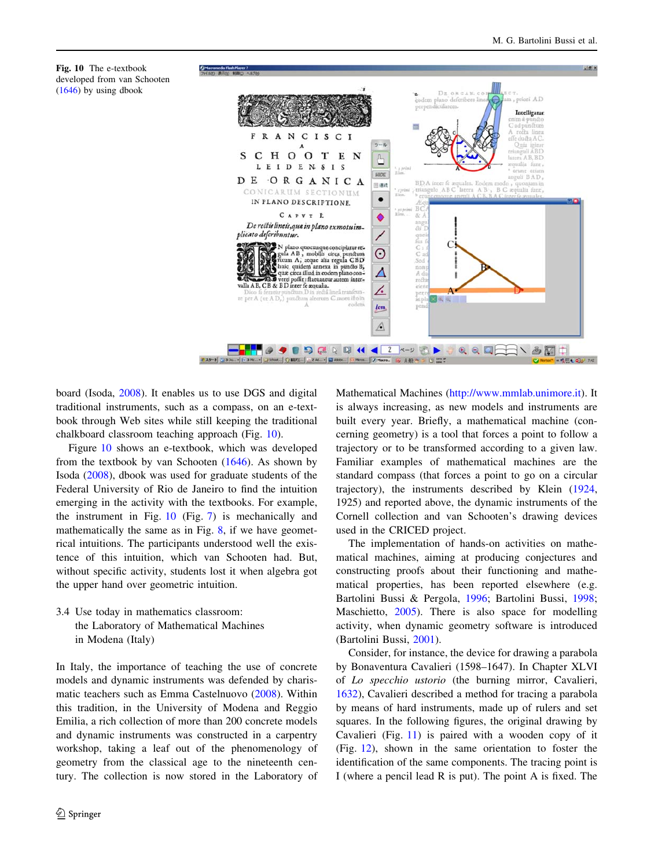

board (Isoda, [2008](#page-11-0)). It enables us to use DGS and digital traditional instruments, such as a compass, on an e-textbook through Web sites while still keeping the traditional chalkboard classroom teaching approach (Fig. 10).

Fig. 10 The e-textbook developed from van Schooten ([1646\)](#page-12-0) by using dbook

Figure 10 shows an e-textbook, which was developed from the textbook by van Schooten [\(1646](#page-12-0)). As shown by Isoda [\(2008](#page-11-0)), dbook was used for graduate students of the Federal University of Rio de Janeiro to find the intuition emerging in the activity with the textbooks. For example, the instrument in Fig. 10 (Fig. [7\)](#page-6-0) is mechanically and mathematically the same as in Fig.  $8$ , if we have geometrical intuitions. The participants understood well the existence of this intuition, which van Schooten had. But, without specific activity, students lost it when algebra got the upper hand over geometric intuition.

3.4 Use today in mathematics classroom: the Laboratory of Mathematical Machines in Modena (Italy)

In Italy, the importance of teaching the use of concrete models and dynamic instruments was defended by charismatic teachers such as Emma Castelnuovo [\(2008](#page-11-0)). Within this tradition, in the University of Modena and Reggio Emilia, a rich collection of more than 200 concrete models and dynamic instruments was constructed in a carpentry workshop, taking a leaf out of the phenomenology of geometry from the classical age to the nineteenth century. The collection is now stored in the Laboratory of Mathematical Machines [\(http://www.mmlab.unimore.it](http://www.mmlab.unimore.it)). It is always increasing, as new models and instruments are built every year. Briefly, a mathematical machine (concerning geometry) is a tool that forces a point to follow a trajectory or to be transformed according to a given law. Familiar examples of mathematical machines are the standard compass (that forces a point to go on a circular trajectory), the instruments described by Klein ([1924,](#page-12-0) 1925) and reported above, the dynamic instruments of the Cornell collection and van Schooten's drawing devices used in the CRICED project.

The implementation of hands-on activities on mathematical machines, aiming at producing conjectures and constructing proofs about their functioning and mathematical properties, has been reported elsewhere (e.g. Bartolini Bussi & Pergola, [1996;](#page-11-0) Bartolini Bussi, [1998](#page-11-0); Maschietto, [2005\)](#page-12-0). There is also space for modelling activity, when dynamic geometry software is introduced (Bartolini Bussi, [2001](#page-11-0)).

Consider, for instance, the device for drawing a parabola by Bonaventura Cavalieri (1598–1647). In Chapter XLVI of Lo specchio ustorio (the burning mirror, Cavalieri, [1632](#page-11-0)), Cavalieri described a method for tracing a parabola by means of hard instruments, made up of rulers and set squares. In the following figures, the original drawing by Cavalieri (Fig. [11\)](#page-10-0) is paired with a wooden copy of it (Fig. [12\)](#page-10-0), shown in the same orientation to foster the identification of the same components. The tracing point is I (where a pencil lead R is put). The point A is fixed. The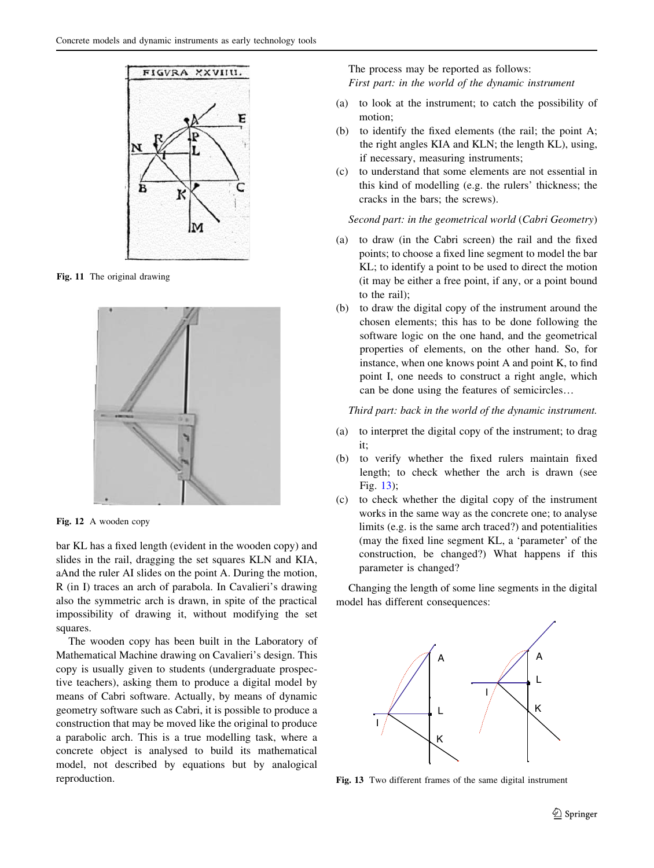<span id="page-10-0"></span>

Fig. 11 The original drawing



Fig. 12 A wooden copy

bar KL has a fixed length (evident in the wooden copy) and slides in the rail, dragging the set squares KLN and KIA, aAnd the ruler AI slides on the point A. During the motion, R (in I) traces an arch of parabola. In Cavalieri's drawing also the symmetric arch is drawn, in spite of the practical impossibility of drawing it, without modifying the set squares.

The wooden copy has been built in the Laboratory of Mathematical Machine drawing on Cavalieri's design. This copy is usually given to students (undergraduate prospective teachers), asking them to produce a digital model by means of Cabri software. Actually, by means of dynamic geometry software such as Cabri, it is possible to produce a construction that may be moved like the original to produce a parabolic arch. This is a true modelling task, where a concrete object is analysed to build its mathematical model, not described by equations but by analogical reproduction.

The process may be reported as follows: First part: in the world of the dynamic instrument

- (a) to look at the instrument; to catch the possibility of motion;
- (b) to identify the fixed elements (the rail; the point A; the right angles KIA and KLN; the length KL), using, if necessary, measuring instruments;
- (c) to understand that some elements are not essential in this kind of modelling (e.g. the rulers' thickness; the cracks in the bars; the screws).

Second part: in the geometrical world (Cabri Geometry)

- (a) to draw (in the Cabri screen) the rail and the fixed points; to choose a fixed line segment to model the bar KL; to identify a point to be used to direct the motion (it may be either a free point, if any, or a point bound to the rail);
- (b) to draw the digital copy of the instrument around the chosen elements; this has to be done following the software logic on the one hand, and the geometrical properties of elements, on the other hand. So, for instance, when one knows point A and point K, to find point I, one needs to construct a right angle, which can be done using the features of semicircles…

Third part: back in the world of the dynamic instrument.

- (a) to interpret the digital copy of the instrument; to drag it;
- (b) to verify whether the fixed rulers maintain fixed length; to check whether the arch is drawn (see Fig. 13);
- (c) to check whether the digital copy of the instrument works in the same way as the concrete one; to analyse limits (e.g. is the same arch traced?) and potentialities (may the fixed line segment KL, a 'parameter' of the construction, be changed?) What happens if this parameter is changed?

Changing the length of some line segments in the digital model has different consequences:



Fig. 13 Two different frames of the same digital instrument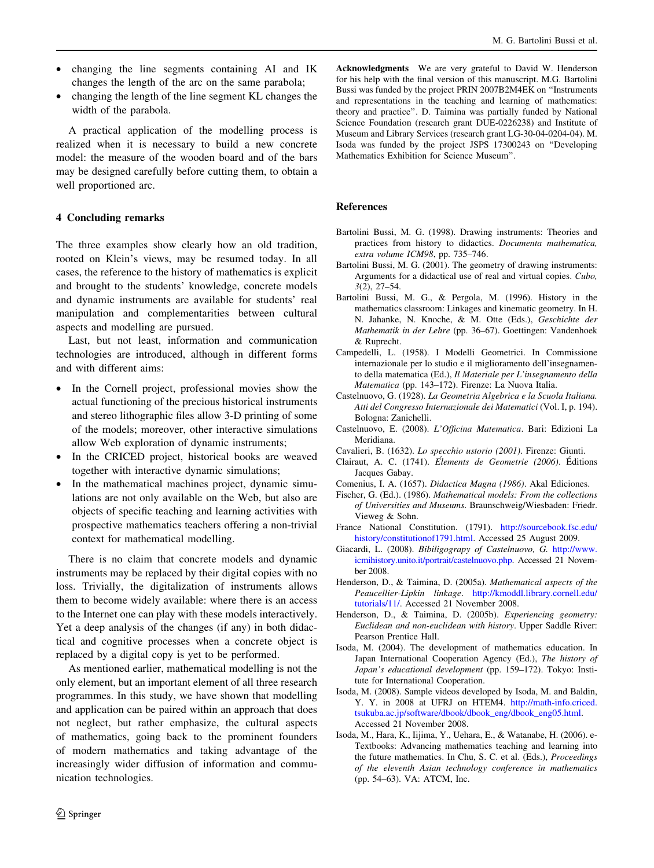- <span id="page-11-0"></span>• changing the line segments containing AI and IK changes the length of the arc on the same parabola;
- changing the length of the line segment KL changes the width of the parabola.

A practical application of the modelling process is realized when it is necessary to build a new concrete model: the measure of the wooden board and of the bars may be designed carefully before cutting them, to obtain a well proportioned arc.

## 4 Concluding remarks

The three examples show clearly how an old tradition, rooted on Klein's views, may be resumed today. In all cases, the reference to the history of mathematics is explicit and brought to the students' knowledge, concrete models and dynamic instruments are available for students' real manipulation and complementarities between cultural aspects and modelling are pursued.

Last, but not least, information and communication technologies are introduced, although in different forms and with different aims:

- In the Cornell project, professional movies show the actual functioning of the precious historical instruments and stereo lithographic files allow 3-D printing of some of the models; moreover, other interactive simulations allow Web exploration of dynamic instruments;
- In the CRICED project, historical books are weaved together with interactive dynamic simulations;
- In the mathematical machines project, dynamic simulations are not only available on the Web, but also are objects of specific teaching and learning activities with prospective mathematics teachers offering a non-trivial context for mathematical modelling.

There is no claim that concrete models and dynamic instruments may be replaced by their digital copies with no loss. Trivially, the digitalization of instruments allows them to become widely available: where there is an access to the Internet one can play with these models interactively. Yet a deep analysis of the changes (if any) in both didactical and cognitive processes when a concrete object is replaced by a digital copy is yet to be performed.

As mentioned earlier, mathematical modelling is not the only element, but an important element of all three research programmes. In this study, we have shown that modelling and application can be paired within an approach that does not neglect, but rather emphasize, the cultural aspects of mathematics, going back to the prominent founders of modern mathematics and taking advantage of the increasingly wider diffusion of information and communication technologies.

Acknowledgments We are very grateful to David W. Henderson for his help with the final version of this manuscript. M.G. Bartolini Bussi was funded by the project PRIN 2007B2M4EK on ''Instruments and representations in the teaching and learning of mathematics: theory and practice''. D. Taimina was partially funded by National Science Foundation (research grant DUE-0226238) and Institute of Museum and Library Services (research grant LG-30-04-0204-04). M. Isoda was funded by the project JSPS 17300243 on ''Developing Mathematics Exhibition for Science Museum''.

#### References

- Bartolini Bussi, M. G. (1998). Drawing instruments: Theories and practices from history to didactics. Documenta mathematica, extra volume ICM98, pp. 735–746.
- Bartolini Bussi, M. G. (2001). The geometry of drawing instruments: Arguments for a didactical use of real and virtual copies. Cubo, 3(2), 27–54.
- Bartolini Bussi, M. G., & Pergola, M. (1996). History in the mathematics classroom: Linkages and kinematic geometry. In H. N. Jahanke, N. Knoche, & M. Otte (Eds.), Geschichte der Mathematik in der Lehre (pp. 36–67). Goettingen: Vandenhoek & Ruprecht.
- Campedelli, L. (1958). I Modelli Geometrici. In Commissione internazionale per lo studio e il miglioramento dell'insegnamento della matematica (Ed.), Il Materiale per L'insegnamento della Matematica (pp. 143–172). Firenze: La Nuova Italia.
- Castelnuovo, G. (1928). La Geometria Algebrica e la Scuola Italiana. Atti del Congresso Internazionale dei Matematici (Vol. I, p. 194). Bologna: Zanichelli.
- Castelnuovo, E. (2008). L'Officina Matematica. Bari: Edizioni La Meridiana.
- Cavalieri, B. (1632). Lo specchio ustorio (2001). Firenze: Giunti.
- Clairaut, A. C. (1741). *Élements de Geometrie (2006)*. Éditions Jacques Gabay.
- Comenius, I. A. (1657). Didactica Magna (1986). Akal Ediciones.
- Fischer, G. (Ed.). (1986). Mathematical models: From the collections of Universities and Museums. Braunschweig/Wiesbaden: Friedr. Vieweg & Sohn.
- France National Constitution. (1791). [http://sourcebook.fsc.edu/](http://sourcebook.fsc.edu/history/constitutionof1791.html) [history/constitutionof1791.html.](http://sourcebook.fsc.edu/history/constitutionof1791.html) Accessed 25 August 2009.
- Giacardi, L. (2008). Bibiligograpy of Castelnuovo, G. [http://www.](http://www.icmihistory.unito.it/portrait/castelnuovo.php) [icmihistory.unito.it/portrait/castelnuovo.php](http://www.icmihistory.unito.it/portrait/castelnuovo.php). Accessed 21 November 2008.
- Henderson, D., & Taimina, D. (2005a). Mathematical aspects of the Peaucellier-Lipkin linkage. [http://kmoddl.library.cornell.edu/](http://kmoddl.library.cornell.edu/tutorials/11/) [tutorials/11/](http://kmoddl.library.cornell.edu/tutorials/11/). Accessed 21 November 2008.
- Henderson, D., & Taimina, D. (2005b). Experiencing geometry: Euclidean and non-euclidean with history. Upper Saddle River: Pearson Prentice Hall.
- Isoda, M. (2004). The development of mathematics education. In Japan International Cooperation Agency (Ed.), The history of Japan's educational development (pp. 159–172). Tokyo: Institute for International Cooperation.
- Isoda, M. (2008). Sample videos developed by Isoda, M. and Baldin, Y. Y. in 2008 at UFRJ on HTEM4. [http://math-info.criced.](http://math-info.criced.tsukuba.ac.jp/software/dbook/dbook_eng/dbook_eng05.html) [tsukuba.ac.jp/software/dbook/dbook\\_eng/dbook\\_eng05.html](http://math-info.criced.tsukuba.ac.jp/software/dbook/dbook_eng/dbook_eng05.html). Accessed 21 November 2008.
- Isoda, M., Hara, K., Iijima, Y., Uehara, E., & Watanabe, H. (2006). e-Textbooks: Advancing mathematics teaching and learning into the future mathematics. In Chu, S. C. et al. (Eds.), Proceedings of the eleventh Asian technology conference in mathematics (pp. 54–63). VA: ATCM, Inc.